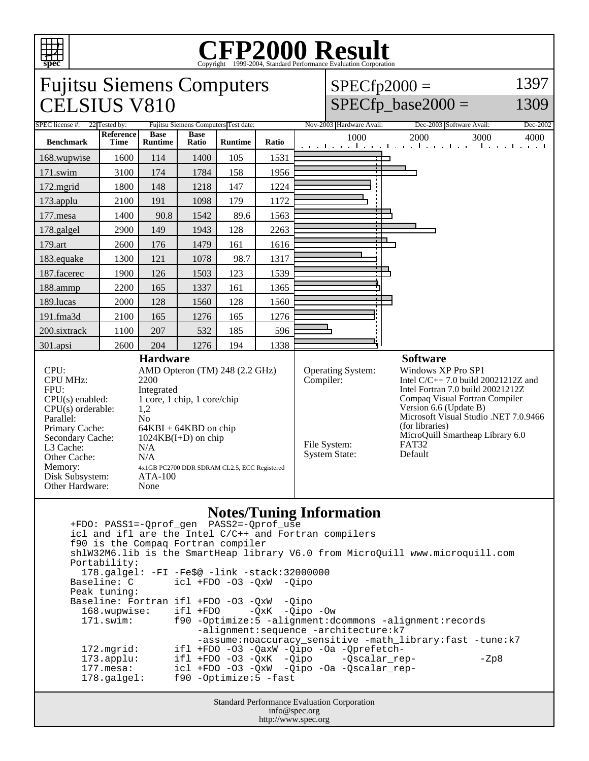

## Copyright ©1999-2004, Standard Performance Evaluation Corporation



 +FDO: PASS1=-Qprof\_gen PASS2=-Qprof\_use icl and ifl are the Intel C/C++ and Fortran compilers f90 is the Compaq Fortran compiler shlW32M6.lib is the SmartHeap library V6.0 from MicroQuill www.microquill.com Portability: 178.galgel: -FI -Fe\$@ -link -stack:32000000 Baseline: C icl +FDO -O3 -QxW -Qipo Peak tuning: Baseline: Fortran ifl +FDO -O3 -QxW -Qipo<br>168.wupwise: ifl +FDO -QxK -Qipo 168.wupwise: ifl +FDO -QxK -Qipo -Ow 171.swim: f90 -Optimize:5 -alignment:dcommons -alignment:records -alignment:sequence -architecture:k7 -assume:noaccuracy\_sensitive -math\_library:fast -tune:k7<br>172.mgrid: ifl +FDO -03 -OaxW -Oipo -Oa -Oprefetch-172.mgrid: ifl +FDO -O3 -QaxW -Qipo -Oa -Qprefetch-<br>173.applu: ifl +FDO -O3 -QxK -Qipo -Qscalar\_re 173.applu: ifl +FDO -O3 -QxK -Qipo -Qscalar\_rep- - -Zp8 177.mesa: icl +FDO -O3 -QxW -Qipo -Oa -Qscalar\_rep- 178.galgel: f90 -Optimize:5 -fast

Standard Performance Evaluation Corporation info@spec.org http://www.spec.org